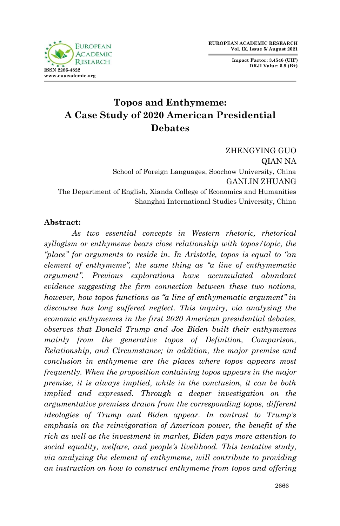**Impact Factor: 3.4546 (UIF) DRJI Value: 5.9 (B+)**



# **Topos and Enthymeme: A Case Study of 2020 American Presidential Debates**

ZHENGYING GUO QIAN NA School of Foreign Languages, Soochow University, China GANLIN ZHUANG The Department of English, Xianda College of Economics and Humanities Shanghai International Studies University, China

#### **Abstract:**

 *As two essential concepts in Western rhetoric, rhetorical syllogism or enthymeme bears close relationship with topos/topic, the "place" for arguments to reside in. In Aristotle, topos is equal to "an element of enthymeme", the same thing as "a line of enthymematic argument". Previous explorations have accumulated abundant evidence suggesting the firm connection between these two notions, however, how topos functions as "a line of enthymematic argument" in discourse has long suffered neglect. This inquiry, via analyzing the economic enthymemes in the first 2020 American presidential debates, observes that Donald Trump and Joe Biden built their enthymemes mainly from the generative topos of Definition, Comparison, Relationship, and Circumstance; in addition, the major premise and conclusion in enthymeme are the places where topos appears most frequently. When the proposition containing topos appears in the major premise, it is always implied, while in the conclusion, it can be both implied and expressed. Through a deeper investigation on the argumentative premises drawn from the corresponding topos, different ideologies of Trump and Biden appear. In contrast to Trump's emphasis on the reinvigoration of American power, the benefit of the rich as well as the investment in market, Biden pays more attention to social equality, welfare, and people's livelihood. This tentative study, via analyzing the element of enthymeme, will contribute to providing an instruction on how to construct enthymeme from topos and offering*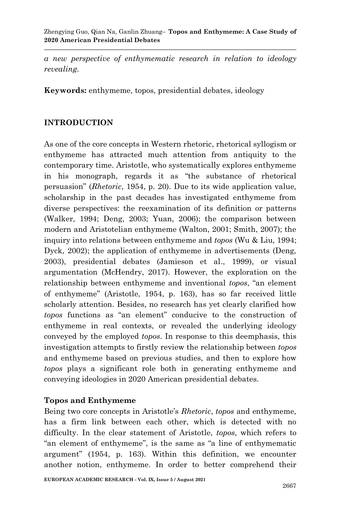*a new perspective of enthymematic research in relation to ideology revealing.*

**Keywords:** enthymeme, topos, presidential debates, ideology

#### **INTRODUCTION**

As one of the core concepts in Western rhetoric, rhetorical syllogism or enthymeme has attracted much attention from antiquity to the contemporary time. Aristotle, who systematically explores enthymeme in his monograph, regards it as "the substance of rhetorical persuasion‖ (*Rhetoric*, 1954, p. 20). Due to its wide application value, scholarship in the past decades has investigated enthymeme from diverse perspectives: the reexamination of its definition or patterns (Walker, 1994; Deng, 2003; Yuan, 2006); the comparison between modern and Aristotelian enthymeme (Walton, 2001; Smith, 2007); the inquiry into relations between enthymeme and *topos* (Wu & Liu, 1994; Dyck, 2002); the application of enthymeme in advertisements (Deng, 2003), presidential debates (Jamieson et al., 1999), or visual argumentation (McHendry, 2017). However, the exploration on the relationship between enthymeme and inventional *topos*, "an element of enthymeme‖ (Aristotle, 1954, p. 163), has so far received little scholarly attention. Besides, no research has yet clearly clarified how topos functions as "an element" conducive to the construction of enthymeme in real contexts, or revealed the underlying ideology conveyed by the employed *topos*. In response to this deemphasis, this investigation attempts to firstly review the relationship between *topos* and enthymeme based on previous studies, and then to explore how *topos* plays a significant role both in generating enthymeme and conveying ideologies in 2020 American presidential debates.

#### **Topos and Enthymeme**

Being two core concepts in Aristotle's *Rhetoric*, *topos* and enthymeme, has a firm link between each other, which is detected with no difficulty. In the clear statement of Aristotle, *topos*, which refers to "an element of enthymeme", is the same as "a line of enthymematic argument" (1954, p. 163). Within this definition, we encounter another notion, enthymeme. In order to better comprehend their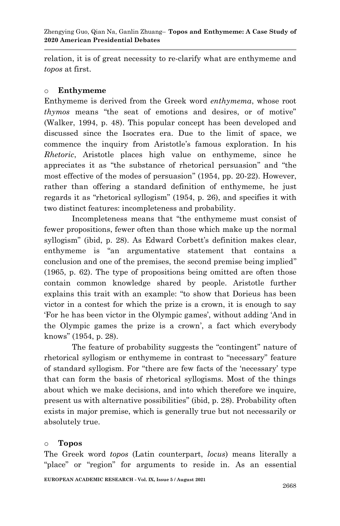relation, it is of great necessity to re-clarify what are enthymeme and *topos* at first.

#### o **Enthymeme**

Enthymeme is derived from the Greek word *enthymema*, whose root *thymos* means "the seat of emotions and desires, or of motive" (Walker, 1994, p. 48). This popular concept has been developed and discussed since the Isocrates era. Due to the limit of space, we commence the inquiry from Aristotle's famous exploration. In his *Rhetoric*, Aristotle places high value on enthymeme, since he appreciates it as "the substance of rhetorical persuasion" and "the most effective of the modes of persuasion" (1954, pp. 20-22). However, rather than offering a standard definition of enthymeme, he just regards it as "rhetorical syllogism"  $(1954, p. 26)$ , and specifies it with two distinct features: incompleteness and probability.

Incompleteness means that "the enthymeme must consist of fewer propositions, fewer often than those which make up the normal syllogism" (ibid, p. 28). As Edward Corbett's definition makes clear, enthymeme is "an argumentative statement that contains a conclusion and one of the premises, the second premise being implied" (1965, p. 62). The type of propositions being omitted are often those contain common knowledge shared by people. Aristotle further explains this trait with an example: "to show that Dorieus has been victor in a contest for which the prize is a crown, it is enough to say ‗For he has been victor in the Olympic games', without adding ‗And in the Olympic games the prize is a crown', a fact which everybody knows" (1954, p. 28).

The feature of probability suggests the "contingent" nature of rhetorical syllogism or enthymeme in contrast to "necessary" feature of standard syllogism. For "there are few facts of the 'necessary' type that can form the basis of rhetorical syllogisms. Most of the things about which we make decisions, and into which therefore we inquire, present us with alternative possibilities‖ (ibid, p. 28). Probability often exists in major premise, which is generally true but not necessarily or absolutely true.

#### o **Topos**

The Greek word *topos* (Latin counterpart, *locus*) means literally a "place" or "region" for arguments to reside in. As an essential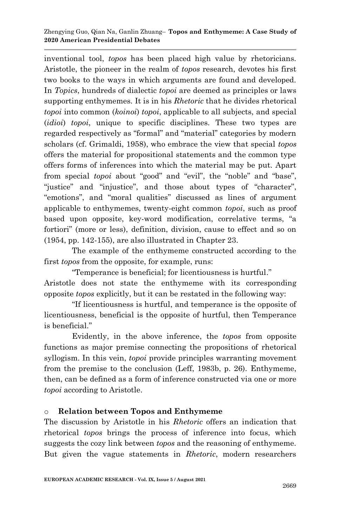inventional tool, *topos* has been placed high value by rhetoricians. Aristotle, the pioneer in the realm of *topos* research, devotes his first two books to the ways in which arguments are found and developed. In *Topics*, hundreds of dialectic *topoi* are deemed as principles or laws supporting enthymemes. It is in his *Rhetoric* that he divides rhetorical *topoi* into common (*koinoi*) *topoi*, applicable to all subjects, and special (*idioi*) *topoi*, unique to specific disciplines. These two types are regarded respectively as "formal" and "material" categories by modern scholars (cf. Grimaldi, 1958), who embrace the view that special *topos* offers the material for propositional statements and the common type offers forms of inferences into which the material may be put. Apart from special *topoi* about "good" and "evil", the "noble" and "base", "justice" and "injustice", and those about types of "character", "emotions", and "moral qualities" discussed as lines of argument applicable to enthymemes, twenty-eight common *topoi*, such as proof based upon opposite, key-word modification, correlative terms, "a fortiori" (more or less), definition, division, cause to effect and so on (1954, pp. 142-155), are also illustrated in Chapter 23.

The example of the enthymeme constructed according to the first *topos* from the opposite, for example, runs:

"Temperance is beneficial; for licentiousness is hurtful." Aristotle does not state the enthymeme with its corresponding opposite *topos* explicitly, but it can be restated in the following way:

―If licentiousness is hurtful, and temperance is the opposite of licentiousness, beneficial is the opposite of hurtful, then Temperance is beneficial."

Evidently, in the above inference, the *topos* from opposite functions as major premise connecting the propositions of rhetorical syllogism. In this vein, *topoi* provide principles warranting movement from the premise to the conclusion (Leff, 1983b, p. 26). Enthymeme, then, can be defined as a form of inference constructed via one or more *topoi* according to Aristotle.

## o **Relation between Topos and Enthymeme**

The discussion by Aristotle in his *Rhetoric* offers an indication that rhetorical *topos* brings the process of inference into focus, which suggests the cozy link between *topos* and the reasoning of enthymeme. But given the vague statements in *Rhetoric*, modern researchers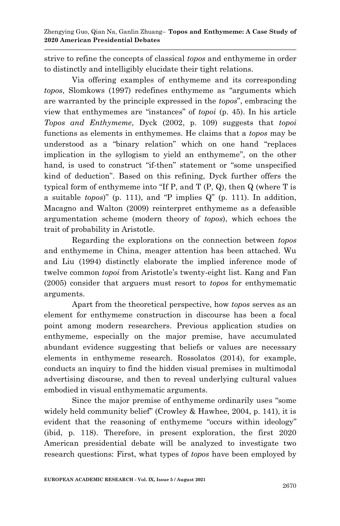strive to refine the concepts of classical *topos* and enthymeme in order to distinctly and intelligibly elucidate their tight relations.

Via offering examples of enthymeme and its corresponding *topos*, Slomkows (1997) redefines enthymeme as "arguments which are warranted by the principle expressed in the *topos*", embracing the view that enthymemes are "instances" of *topoi* (p. 45). In his article *Topos and Enthymeme*, Dyck (2002, p. 109) suggests that *topoi*  functions as elements in enthymemes. He claims that a *topos* may be understood as a "binary relation" which on one hand "replaces implication in the syllogism to yield an enthymeme", on the other hand, is used to construct "if-then" statement or "some unspecified kind of deduction". Based on this refining, Dyck further offers the typical form of enthymeme into "If P, and T  $(P, Q)$ , then  $Q$  (where T is a suitable *topos*)" (p. 111), and "P implies  $Q$ " (p. 111). In addition, Macagno and Walton (2009) reinterpret enthymeme as a defeasible argumentation scheme (modern theory of *topos*), which echoes the trait of probability in Aristotle.

Regarding the explorations on the connection between *topos* and enthymeme in China, meager attention has been attached. Wu and Liu (1994) distinctly elaborate the implied inference mode of twelve common *topoi* from Aristotle's twenty-eight list. Kang and Fan (2005) consider that arguers must resort to *topos* for enthymematic arguments.

Apart from the theoretical perspective, how *topos* serves as an element for enthymeme construction in discourse has been a focal point among modern researchers. Previous application studies on enthymeme, especially on the major premise, have accumulated abundant evidence suggesting that beliefs or values are necessary elements in enthymeme research. Rossolatos (2014), for example, conducts an inquiry to find the hidden visual premises in multimodal advertising discourse, and then to reveal underlying cultural values embodied in visual enthymematic arguments.

Since the major premise of enthymeme ordinarily uses "some" widely held community belief" (Crowley & Hawhee, 2004, p. 141), it is evident that the reasoning of enthymeme "occurs within ideology" (ibid, p. 118). Therefore, in present exploration, the first 2020 American presidential debate will be analyzed to investigate two research questions: First, what types of *topos* have been employed by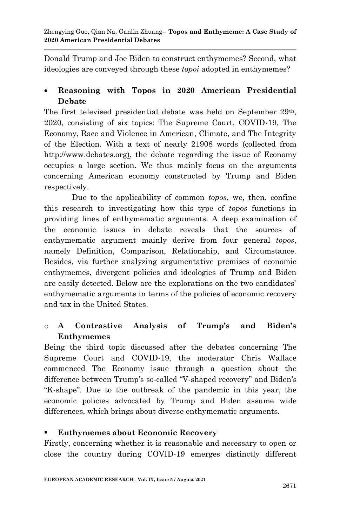Donald Trump and Joe Biden to construct enthymemes? Second, what ideologies are conveyed through these *topoi* adopted in enthymemes?

## **Reasoning with Topos in 2020 American Presidential Debate**

The first televised presidential debate was held on September 29th, 2020, consisting of six topics: The Supreme Court, COVID-19, The Economy, Race and Violence in American, Climate, and The Integrity of the Election. With a text of nearly 21908 words (collected from http://www.debates.org), the debate regarding the issue of Economy occupies a large section. We thus mainly focus on the arguments concerning American economy constructed by Trump and Biden respectively.

Due to the applicability of common *topos*, we, then, confine this research to investigating how this type of *topos* functions in providing lines of enthymematic arguments. A deep examination of the economic issues in debate reveals that the sources of enthymematic argument mainly derive from four general *topos*, namely Definition, Comparison, Relationship, and Circumstance. Besides, via further analyzing argumentative premises of economic enthymemes, divergent policies and ideologies of Trump and Biden are easily detected. Below are the explorations on the two candidates' enthymematic arguments in terms of the policies of economic recovery and tax in the United States.

# o **A Contrastive Analysis of Trump's and Biden's Enthymemes**

Being the third topic discussed after the debates concerning The Supreme Court and COVID-19, the moderator Chris Wallace commenced The Economy issue through a question about the difference between Trump's so-called "V-shaped recovery" and Biden's ―K-shape‖. Due to the outbreak of the pandemic in this year, the economic policies advocated by Trump and Biden assume wide differences, which brings about diverse enthymematic arguments.

## **Enthymemes about Economic Recovery**

Firstly, concerning whether it is reasonable and necessary to open or close the country during COVID-19 emerges distinctly different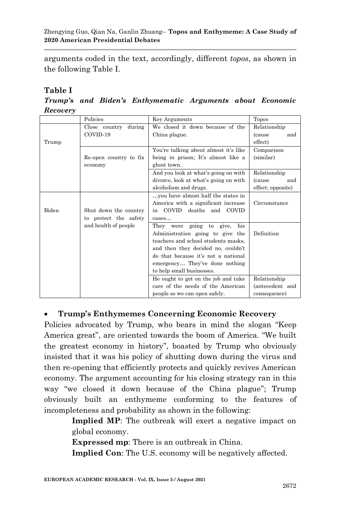arguments coded in the text, accordingly, different *topos*, as shown in the following Table I.

#### **Table I**

*Trump's and Biden's Enthymematic Arguments about Economic Recovery*

|                         | Policies               | <b>Key Arguments</b>                  | Topos                 |
|-------------------------|------------------------|---------------------------------------|-----------------------|
| during<br>Close country |                        | We closed it down because of the      | Relationship          |
|                         | COVID-19               | China plague.                         | <i>(cause)</i><br>and |
| Trump                   |                        |                                       | effect)               |
|                         |                        | You're talking about almost it's like | Comparison            |
|                         | Re-open country to fix | being in prison; It's almost like a   | (similar)             |
|                         | economy                | ghost town.                           |                       |
|                         |                        | And you look at what's going on with  | Relationship          |
|                         |                        | divorce, look at what's going on with | <i>(cause)</i><br>and |
|                         |                        | alcoholism and drugs.                 | effect; opposite)     |
|                         |                        | you have almost half the states in    |                       |
|                         |                        | America with a significant increase   | Circumstance          |
| Biden                   | Shut down the country  | COVID<br>deaths and COVID<br>in       |                       |
|                         | to protect the safety  | cases                                 |                       |
|                         | and health of people   | They were going to give,<br>his       |                       |
|                         |                        | Administration going to give the      | Definition            |
|                         |                        | teachers and school students masks.   |                       |
|                         |                        | and then they decided no, couldn't    |                       |
|                         |                        | do that because it's not a national   |                       |
|                         |                        | emergency They've done nothing        |                       |
|                         |                        | to help small businesses.             |                       |
|                         |                        | He ought to get on the job and take   | Relationship          |
|                         |                        | care of the needs of the American     | (antecedent and       |
|                         |                        | people so we can open safely.         | consequence)          |

## **Trump's Enthymemes Concerning Economic Recovery**

Policies advocated by Trump, who bears in mind the slogan "Keep" America great", are oriented towards the boom of America. "We built the greatest economy in history", boasted by Trump who obviously insisted that it was his policy of shutting down during the virus and then re-opening that efficiently protects and quickly revives American economy. The argument accounting for his closing strategy ran in this way "we closed it down because of the China plague"; Trump obviously built an enthymeme conforming to the features of incompleteness and probability as shown in the following:

> **Implied MP**: The outbreak will exert a negative impact on global economy.

**Expressed mp**: There is an outbreak in China.

**Implied Con**: The U.S. economy will be negatively affected.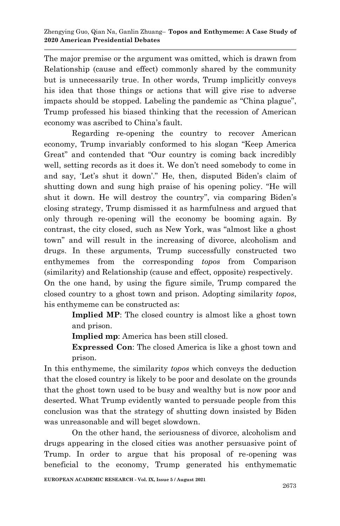The major premise or the argument was omitted, which is drawn from Relationship (cause and effect) commonly shared by the community but is unnecessarily true. In other words, Trump implicitly conveys his idea that those things or actions that will give rise to adverse impacts should be stopped. Labeling the pandemic as "China plague", Trump professed his biased thinking that the recession of American economy was ascribed to China's fault.

Regarding re-opening the country to recover American economy, Trump invariably conformed to his slogan "Keep America" Great" and contended that "Our country is coming back incredibly well, setting records as it does it. We don't need somebody to come in and say, 'Let's shut it down'." He, then, disputed Biden's claim of shutting down and sung high praise of his opening policy. "He will shut it down. He will destroy the country", via comparing Biden's closing strategy, Trump dismissed it as harmfulness and argued that only through re-opening will the economy be booming again. By contrast, the city closed, such as New York, was "almost like a ghost" town‖ and will result in the increasing of divorce, alcoholism and drugs. In these arguments, Trump successfully constructed two enthymemes from the corresponding *topos* from Comparison (similarity) and Relationship (cause and effect, opposite) respectively. On the one hand, by using the figure simile, Trump compared the closed country to a ghost town and prison. Adopting similarity *topos*,

> **Implied MP**: The closed country is almost like a ghost town and prison.

**Implied mp**: America has been still closed.

his enthymeme can be constructed as:

**Expressed Con**: The closed America is like a ghost town and prison.

In this enthymeme, the similarity *topos* which conveys the deduction that the closed country is likely to be poor and desolate on the grounds that the ghost town used to be busy and wealthy but is now poor and deserted. What Trump evidently wanted to persuade people from this conclusion was that the strategy of shutting down insisted by Biden was unreasonable and will beget slowdown.

On the other hand, the seriousness of divorce, alcoholism and drugs appearing in the closed cities was another persuasive point of Trump. In order to argue that his proposal of re-opening was beneficial to the economy, Trump generated his enthymematic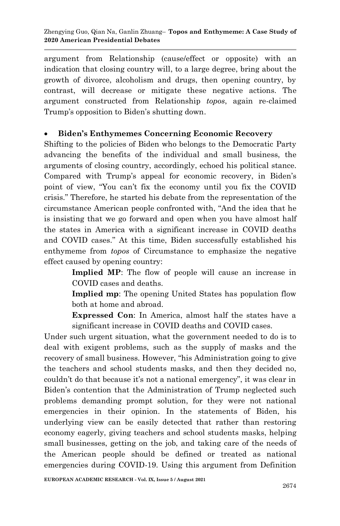argument from Relationship (cause/effect or opposite) with an indication that closing country will, to a large degree, bring about the growth of divorce, alcoholism and drugs, then opening country, by contrast, will decrease or mitigate these negative actions. The argument constructed from Relationship *topos*, again re-claimed Trump's opposition to Biden's shutting down.

#### **Biden's Enthymemes Concerning Economic Recovery**

Shifting to the policies of Biden who belongs to the Democratic Party advancing the benefits of the individual and small business, the arguments of closing country, accordingly, echoed his political stance. Compared with Trump's appeal for economic recovery, in Biden's point of view, ―You can't fix the economy until you fix the COVID crisis.‖ Therefore, he started his debate from the representation of the circumstance American people confronted with, "And the idea that he is insisting that we go forward and open when you have almost half the states in America with a significant increase in COVID deaths and COVID cases." At this time, Biden successfully established his enthymeme from *topos* of Circumstance to emphasize the negative effect caused by opening country:

> **Implied MP**: The flow of people will cause an increase in COVID cases and deaths.

> **Implied mp**: The opening United States has population flow both at home and abroad.

> **Expressed Con**: In America, almost half the states have a significant increase in COVID deaths and COVID cases.

Under such urgent situation, what the government needed to do is to deal with exigent problems, such as the supply of masks and the recovery of small business. However, "his Administration going to give the teachers and school students masks, and then they decided no, couldn't do that because it's not a national emergency", it was clear in Biden's contention that the Administration of Trump neglected such problems demanding prompt solution, for they were not national emergencies in their opinion. In the statements of Biden, his underlying view can be easily detected that rather than restoring economy eagerly, giving teachers and school students masks, helping small businesses, getting on the job, and taking care of the needs of the American people should be defined or treated as national emergencies during COVID-19. Using this argument from Definition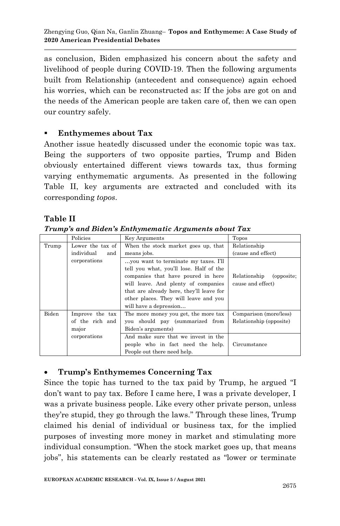as conclusion, Biden emphasized his concern about the safety and livelihood of people during COVID-19. Then the following arguments built from Relationship (antecedent and consequence) again echoed his worries, which can be reconstructed as: If the jobs are got on and the needs of the American people are taken care of, then we can open our country safely.

## **Enthymemes about Tax**

Another issue heatedly discussed under the economic topic was tax. Being the supporters of two opposite parties, Trump and Biden obviously entertained different views towards tax, thus forming varying enthymematic arguments. As presented in the following Table II, key arguments are extracted and concluded with its corresponding *topos*.

## **Table II**

*Trump's and Biden's Enthymematic Arguments about Tax*

|       | Policies          | <b>Key Arguments</b>                                                            | Topos                                           |
|-------|-------------------|---------------------------------------------------------------------------------|-------------------------------------------------|
| Trump | Lower the tax of  | When the stock market goes up, that                                             | Relationship                                    |
|       | individual<br>and | means jobs.                                                                     | (cause and effect)                              |
|       | corporations      | you want to terminate my taxes. I'll<br>tell you what, you'll lose. Half of the |                                                 |
|       |                   | companies that have poured in here<br>will leave. And plenty of companies       | Relationship<br>(opposite:<br>cause and effect) |
|       |                   | that are already here, they'll leave for                                        |                                                 |
|       |                   | other places. They will leave and you                                           |                                                 |
|       |                   | will have a depression                                                          |                                                 |
| Biden | Improve the tax   | The more money you get, the more tax                                            | Comparison (more/less)                          |
|       | of the rich and   | you should pay (summarized from                                                 | Relationship (opposite)                         |
|       | major             | Biden's arguments)                                                              |                                                 |
|       | corporations      | And make sure that we invest in the                                             |                                                 |
|       |                   | people who in fact need the help.                                               | Circumstance                                    |
|       |                   | People out there need help.                                                     |                                                 |

# **Trump's Enthymemes Concerning Tax**

Since the topic has turned to the tax paid by Trump, he argued "I don't want to pay tax. Before I came here, I was a private developer, I was a private business people. Like every other private person, unless they're stupid, they go through the laws.‖ Through these lines, Trump claimed his denial of individual or business tax, for the implied purposes of investing more money in market and stimulating more individual consumption. "When the stock market goes up, that means jobs", his statements can be clearly restated as "lower or terminate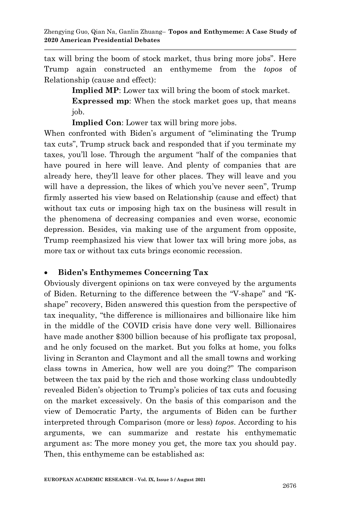tax will bring the boom of stock market, thus bring more jobs". Here Trump again constructed an enthymeme from the *topos* of Relationship (cause and effect):

> **Implied MP**: Lower tax will bring the boom of stock market. **Expressed mp**: When the stock market goes up, that means job.

**Implied Con**: Lower tax will bring more jobs.

When confronted with Biden's argument of "eliminating the Trump" tax cuts‖, Trump struck back and responded that if you terminate my taxes, you'll lose. Through the argument "half of the companies that have poured in here will leave. And plenty of companies that are already here, they'll leave for other places. They will leave and you will have a depression, the likes of which you've never seen", Trump firmly asserted his view based on Relationship (cause and effect) that without tax cuts or imposing high tax on the business will result in the phenomena of decreasing companies and even worse, economic depression. Besides, via making use of the argument from opposite, Trump reemphasized his view that lower tax will bring more jobs, as more tax or without tax cuts brings economic recession.

## **Biden's Enthymemes Concerning Tax**

Obviously divergent opinions on tax were conveyed by the arguments of Biden. Returning to the difference between the "V-shape" and "Kshape" recovery, Biden answered this question from the perspective of tax inequality, "the difference is millionaires and billionaire like him in the middle of the COVID crisis have done very well. Billionaires have made another \$300 billion because of his profligate tax proposal, and he only focused on the market. But you folks at home, you folks living in Scranton and Claymont and all the small towns and working class towns in America, how well are you doing?" The comparison between the tax paid by the rich and those working class undoubtedly revealed Biden's objection to Trump's policies of tax cuts and focusing on the market excessively. On the basis of this comparison and the view of Democratic Party, the arguments of Biden can be further interpreted through Comparison (more or less) *topos*. According to his arguments, we can summarize and restate his enthymematic argument as: The more money you get, the more tax you should pay. Then, this enthymeme can be established as: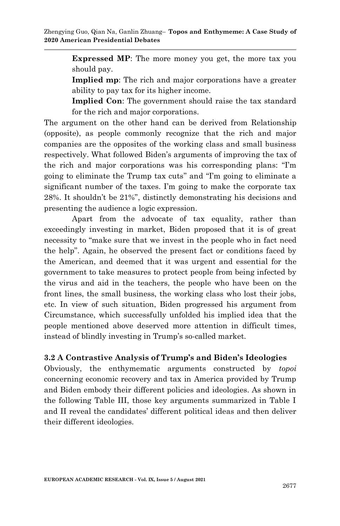**Expressed MP**: The more money you get, the more tax you should pay.

**Implied mp**: The rich and major corporations have a greater ability to pay tax for its higher income.

**Implied Con**: The government should raise the tax standard for the rich and major corporations.

The argument on the other hand can be derived from Relationship (opposite), as people commonly recognize that the rich and major companies are the opposites of the working class and small business respectively. What followed Biden's arguments of improving the tax of the rich and major corporations was his corresponding plans: "I'm going to eliminate the Trump tax cuts" and "I'm going to eliminate a significant number of the taxes. I'm going to make the corporate tax 28%. It shouldn't be 21%", distinctly demonstrating his decisions and presenting the audience a logic expression.

Apart from the advocate of tax equality, rather than exceedingly investing in market, Biden proposed that it is of great necessity to "make sure that we invest in the people who in fact need the help". Again, he observed the present fact or conditions faced by the American, and deemed that it was urgent and essential for the government to take measures to protect people from being infected by the virus and aid in the teachers, the people who have been on the front lines, the small business, the working class who lost their jobs, etc. In view of such situation, Biden progressed his argument from Circumstance, which successfully unfolded his implied idea that the people mentioned above deserved more attention in difficult times, instead of blindly investing in Trump's so-called market.

## **3.2 A Contrastive Analysis of Trump's and Biden's Ideologies**

Obviously, the enthymematic arguments constructed by *topoi*  concerning economic recovery and tax in America provided by Trump and Biden embody their different policies and ideologies. As shown in the following Table III, those key arguments summarized in Table I and II reveal the candidates' different political ideas and then deliver their different ideologies.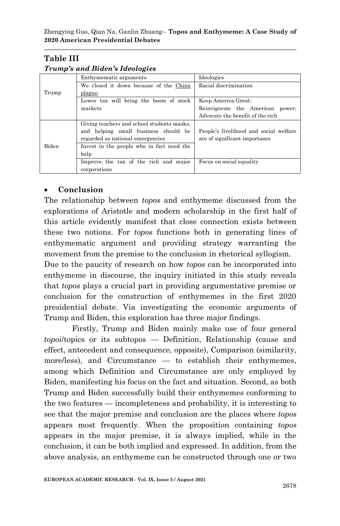## **Table III**

|              | Enthymematic arguments                     | Ideologies                             |
|--------------|--------------------------------------------|----------------------------------------|
|              | We closed it down because of the China     | Racial discrimination                  |
| Trump        | plague.                                    |                                        |
|              | Lower tax will bring the boom of stock     | Keep America Great:                    |
|              | markets                                    | Reinvigorate the American power;       |
|              |                                            | Advocate the benefit of the rich       |
| <b>Biden</b> | Giving teachers and school students masks. |                                        |
|              | and helping small business should be       | People's livelihood and social welfare |
|              | regarded as national emergencies           | are of significant importance          |
|              | Invest in the people who in fact need the  |                                        |
|              | help                                       |                                        |
|              | Improve the tax of the rich and major      | Focus on social equality               |
|              | corporations                               |                                        |

#### *Trump's and Biden's Ideologies*

## **Conclusion**

The relationship between *topos* and enthymeme discussed from the explorations of Aristotle and modern scholarship in the first half of this article evidently manifest that close connection exists between these two notions. For *topos* functions both in generating lines of enthymematic argument and providing strategy warranting the movement from the premise to the conclusion in rhetorical syllogism.

Due to the paucity of research on how *topos* can be incorporated into enthymeme in discourse, the inquiry initiated in this study reveals that *topos* plays a crucial part in providing argumentative premise or conclusion for the construction of enthymemes in the first 2020 presidential debate. Via investigating the economic arguments of Trump and Biden, this exploration has three major findings.

Firstly, Trump and Biden mainly make use of four general *topoi*/topics or its subtopos — Definition, Relationship (cause and effect, antecedent and consequence, opposite), Comparison (similarity, more/less), and Circumstance — to establish their enthymemes, among which Definition and Circumstance are only employed by Biden, manifesting his focus on the fact and situation. Second, as both Trump and Biden successfully build their enthymemes conforming to the two features — incompleteness and probability, it is interesting to see that the major premise and conclusion are the places where *topos* appears most frequently. When the proposition containing *topos* appears in the major premise, it is always implied, while in the conclusion, it can be both implied and expressed. In addition, from the above analysis, an enthymeme can be constructed through one or two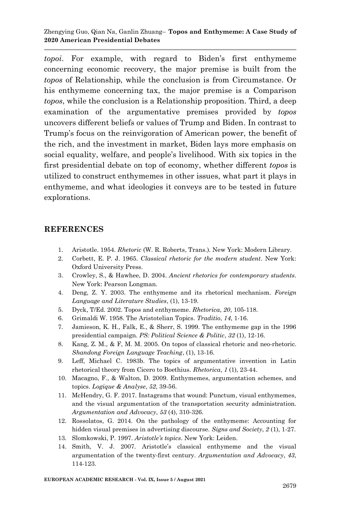Zhengying Guo, Qian Na, Ganlin Zhuang– **Topos and Enthymeme: A Case Study of 2020 American Presidential Debates**

*topoi*. For example, with regard to Biden's first enthymeme concerning economic recovery, the major premise is built from the *topos* of Relationship, while the conclusion is from Circumstance. Or his enthymeme concerning tax, the major premise is a Comparison *topos*, while the conclusion is a Relationship proposition. Third, a deep examination of the argumentative premises provided by *topos* uncovers different beliefs or values of Trump and Biden. In contrast to Trump's focus on the reinvigoration of American power, the benefit of the rich, and the investment in market, Biden lays more emphasis on social equality, welfare, and people's livelihood. With six topics in the first presidential debate on top of economy, whether different *topos* is utilized to construct enthymemes in other issues, what part it plays in enthymeme, and what ideologies it conveys are to be tested in future explorations.

#### **REFERENCES**

- 1. Aristotle. 1954. *Rhetoric* (W. R. Roberts, Trans.). New York: Modern Library.
- 2. Corbett, E. P. J. 1965. *Classical rhetoric for the modern student*. New York: Oxford University Press.
- 3. Crowley, S., & Hawhee, D. 2004. *Ancient rhetorics for contemporary students*. New York: Pearson Longman.
- 4. Deng, Z. Y. 2003. The enthymeme and its rhetorical mechanism. *Foreign Language and Literature Studies*, (1), 13-19.
- 5. Dyck, T/Ed. 2002. Topos and enthymeme. *Rhetorica*, *20*, 105-118.
- 6. Grimaldi W. 1958. The Aristotelian Topics. *Traditio*, *14*, 1-16.
- 7. Jamieson, K. H., Falk, E., & Sherr, S. 1999. The enthymeme gap in the 1996 presidential campaign. *PS: Political Science & Politic*, *32* (1), 12-16.
- 8. Kang, Z. M., & F, M. M. 2005. On topos of classical rhetoric and neo-rhetoric. *Shandong Foreign Language Teaching*, (1), 13-16.
- 9. Leff, Michael C. 1983b. The topics of argumentative invention in Latin rhetorical theory from Cicero to Boethius. *Rhetorica*, *1* (1), 23-44.
- 10. Macagno, F., & Walton, D. 2009. Enthymemes, argumentation schemes, and topics. *Logique & Analyse*, *52*, 39-56.
- 11. McHendry, G. F. 2017. Instagrams that wound: Punctum, visual enthymemes, and the visual argumentation of the transportation security administration. *Argumentation and Advocacy*, *53* (4), 310-326.
- 12. Rossolatos, G. 2014. On the pathology of the enthymeme: Accounting for hidden visual premises in advertising discourse. *Signs and Society*, *2* (1), 1-27.
- 13. Slomkowski, P. 1997. *Aristotle's topics*. New York: Leiden.
- 14. Smith, V. J. 2007. Aristotle's classical enthymeme and the visual argumentation of the twenty-first century. *Argumentation and Advocacy*, *43*, 114-123.